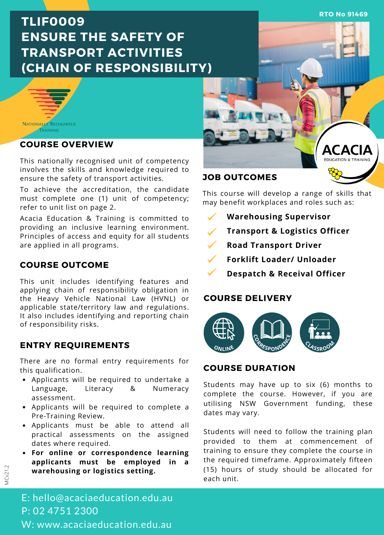**RTO No 91469**

# **TLIF0009 ENSURE THE SAFETY OF TRANSPORT ACTIVITIES (CHAIN OF RESPONSIBILITY)**



### **COURSE OVERVIEW**

This nationally recognised unit of competency involves the skills and knowledge required to ensure the safety of transport activities.

To achieve the accreditation, the candidate must complete one (1) unit of competency; refer to unit list on page 2.

Acacia Education & Training is committed to providing an inclusive learning environment. Principles of access and equity for all students are applied in all programs.

# **COURSE OUTCOME**

This unit includes identifying features and applying chain of responsibility obligation in the Heavy Vehicle National Law (HVNL) or applicable state/territory law and regulations. It also includes identifying and reporting chain of responsibility risks.

# **ENTRY REQUIREMENTS**

There are no formal entry requirements for this qualification.

- Applicants will be required to undertake a Language, Literacy & Numeracy assessment.
- Applicants will be required to complete a Pre-Training Review.
- Applicants must be able to attend all practical assessments on the assigned dates where required.
- **For online or correspondence learning applicants must be employed in a warehousing or logistics setting.**

# **ACACIA EDUCATION & TRAININ**

### **JOB OUTCOMES**

This course will develop a range of skills that may benefit workplaces and roles such as:

- **Warehousing Supervisor**
- **Transport & Logistics Officer**
- **Road Transport Driver**
- **Forklift Loader/ Unloader**
- **Despatch & Receival Officer**

### **COURSE DELIVERY**



# **COURSE DURATION**

Students may have up to six (6) months to complete the course. However, if you are utilising NSW Government funding, these dates may vary.

Students will need to follow the training plan provided to them at commencement of training to ensure they complete the course in the required timeframe. Approximately fifteen (15) hours of study should be allocated for each unit.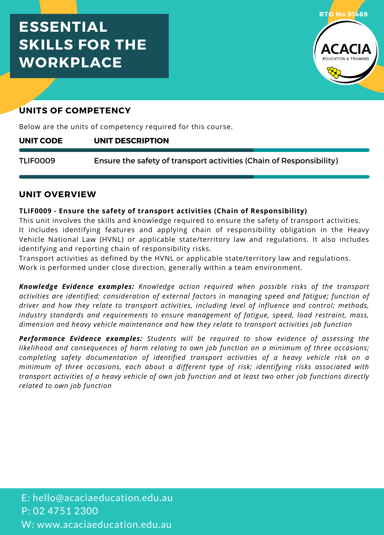# **ESSENTIAL SKILLS FOR THE WORKPLACE**



# **UNITS OF COMPETENCY**

Below are the units of competency required for this course.

#### **UNIT DESCRIPTION UNIT CODE**

Ensure the safety of transport activities (Chain of Responsibility) TLIF0009

### **UNIT OVERVIEW**

#### **TLIF0009 - Ensure the safety of transport activities (Chain of Responsibility)**

This unit involves the skills and knowledge required to ensure the safety of transport activities. It includes identifying features and applying chain of responsibility obligation in the Heavy Vehicle National Law (HVNL) or applicable state/territory law and regulations. It also includes identifying and reporting chain of responsibility risks.

Transport activities as defined by the HVNL or applicable state/territory law and regulations. Work is performed under close direction, generally within a team environment.

*Knowledge Evidence examples: Knowledge action required when possible risks of the transport activities are identified; consideration of external factors in managing speed and fatigue; function of driver and how they relate to transport activities, including level of influence and control; methods, industry standards and requirements to ensure management of fatigue, speed, load restraint, mass, dimension and heavy vehicle maintenance and how they relate to transport activities job function*

*Performance Evidence examples: Students will be required to show evidence of assessing the likelihood and consequences of harm relating to own job function on a minimum of three occasions; completing safety documentation of identified transport activities of a heavy vehicle risk on a minimum of three occasions, each about a different type of risk; identifying risks associated with* transport activities of a heavy vehicle of own job function and at least two other job functions directly *related to own job function*